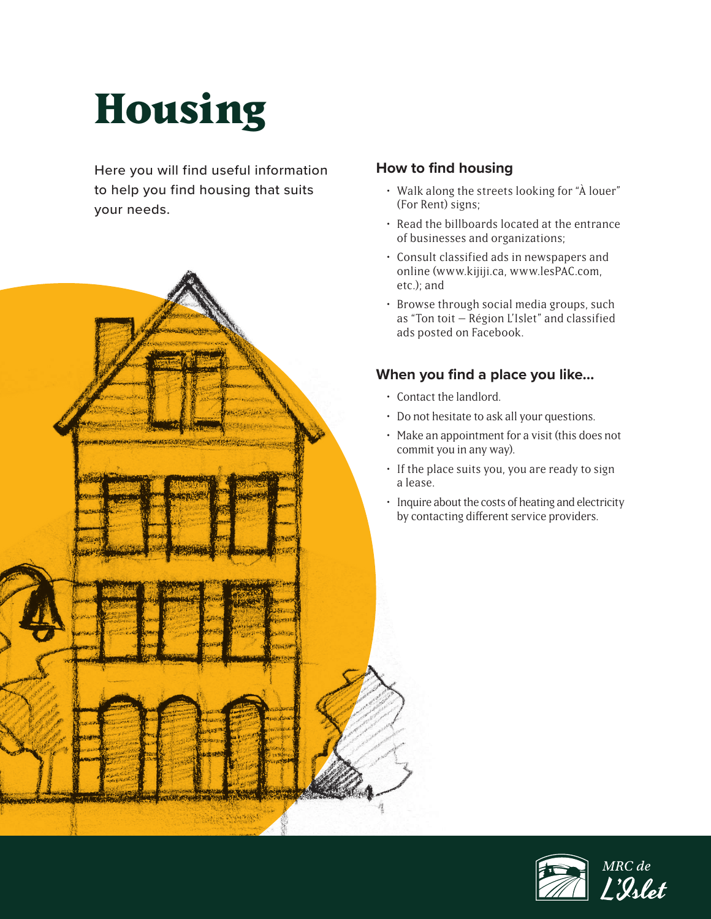# **Housing**

Here you will find useful information to help you find housing that suits your needs.



#### **How to find housing**

- Walk along the streets looking for "À louer" (For Rent) signs;
- Read the billboards located at the entrance of businesses and organizations;
- Consult classified ads in newspapers and online (www.kijiji.ca, www.lesPAC.com,
- Browse through social media groups, such as "Ton toit – Région L'Islet" and classified ads posted on Facebook.

#### **When you find a place you like…**

- Contact the landlord.
- Do not hesitate to ask all your questions.
- Make an appointment for a visit (this does not commit you in any way).
- If the place suits you, you are ready to sign
- Inquire about the costs of heating and electricity by contacting different service providers.

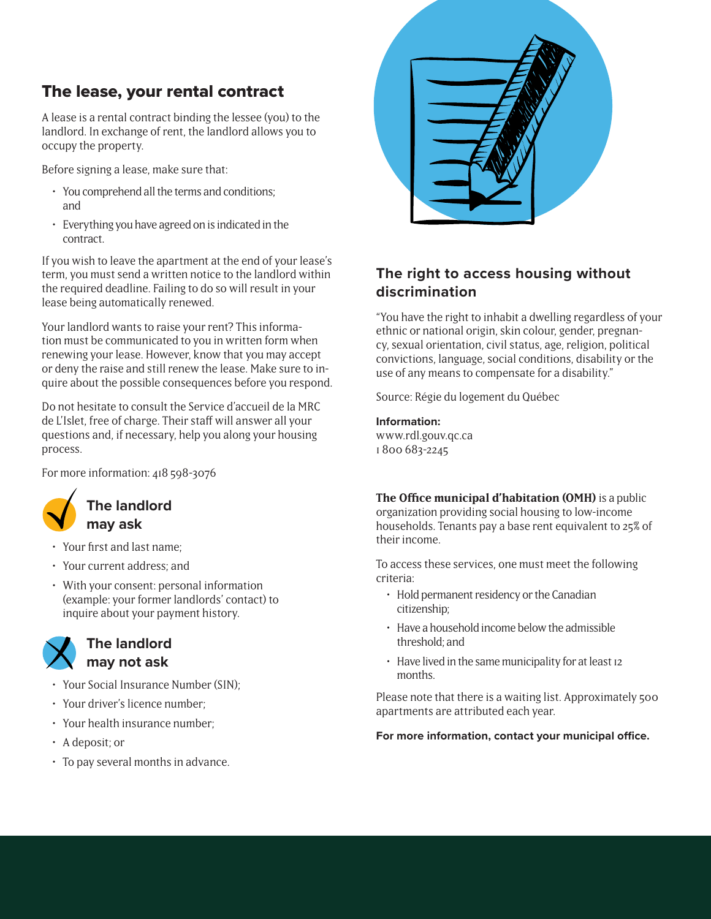# The lease, your rental contract

A lease is a rental contract binding the lessee (you) to the landlord. In exchange of rent, the landlord allows you to occupy the property.

Before signing a lease, make sure that:

- You comprehend all the terms and conditions; and
- Everything you have agreed on is indicated in the contract.

If you wish to leave the apartment at the end of your lease's term, you must send a written notice to the landlord within the required deadline. Failing to do so will result in your lease being automatically renewed.

Your landlord wants to raise your rent? This information must be communicated to you in written form when renewing your lease. However, know that you may accept or deny the raise and still renew the lease. Make sure to inquire about the possible consequences before you respond.

Do not hesitate to consult the Service d'accueil de la MRC de L'Islet, free of charge. Their staff will answer all your questions and, if necessary, help you along your housing process.

For more information: 418 598-3076



# • Your first and last name;

- Your current address; and
- With your consent: personal information (example: your former landlords' contact) to inquire about your payment history.

#### **The landlord may not ask**

- Your Social Insurance Number (SIN);
- Your driver's licence number;
- Your health insurance number;
- A deposit; or
- To pay several months in advance.



#### **The right to access housing without discrimination**

"You have the right to inhabit a dwelling regardless of your ethnic or national origin, skin colour, gender, pregnancy, sexual orientation, civil status, age, religion, political convictions, language, social conditions, disability or the use of any means to compensate for a disability."

Source: Régie du logement du Québec

# **Information:**

www.rdl.gouv.qc.ca 1 800 683-2245

#### **The Office municipal d'habitation (OMH)** is a public

organization providing social housing to low-income households. Tenants pay a base rent equivalent to 25% of their income.

To access these services, one must meet the following criteria:

- Hold permanent residency or the Canadian citizenship;
- Have a household income below the admissible threshold; and
- Have lived in the same municipality for at least 12 months.

Please note that there is a waiting list. Approximately 500 apartments are attributed each year.

**For more information, contact your municipal office.**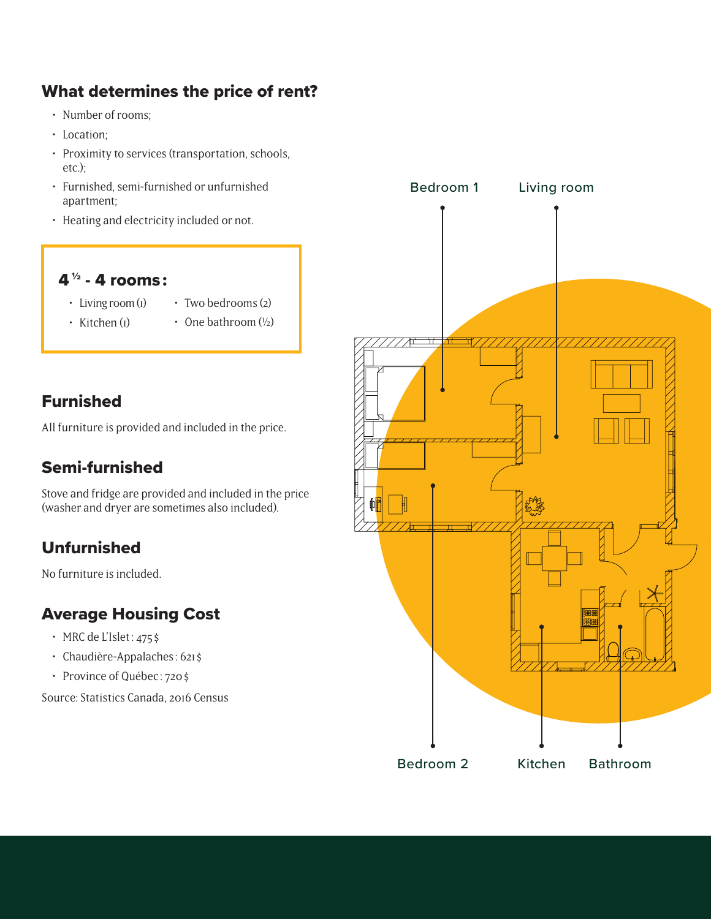# What determines the price of rent?

- Number of rooms;
- Location;
- Proximity to services (transportation, schools, etc.);
- Furnished, semi-furnished or unfurnished apartment;
- Heating and electricity included or not.

# 4  $\frac{1}{2}$  - 4 rooms:

- Living room (1) • Two bedrooms (2)
- Kitchen (1)
- One bathroom  $(1/2)$

# Furnished

All furniture is provided and included in the price.

# Semi-furnished

Stove and fridge are provided and included in the price (washer and dryer are sometimes also included).

# Unfurnished

No furniture is included.

# Average Housing Cost

- MRC de L'Islet :  $475$ \$
- Chaudière-Appalaches : 621 \$
- Province of Québec : 720 \$

Source: Statistics Canada, 2016 Census

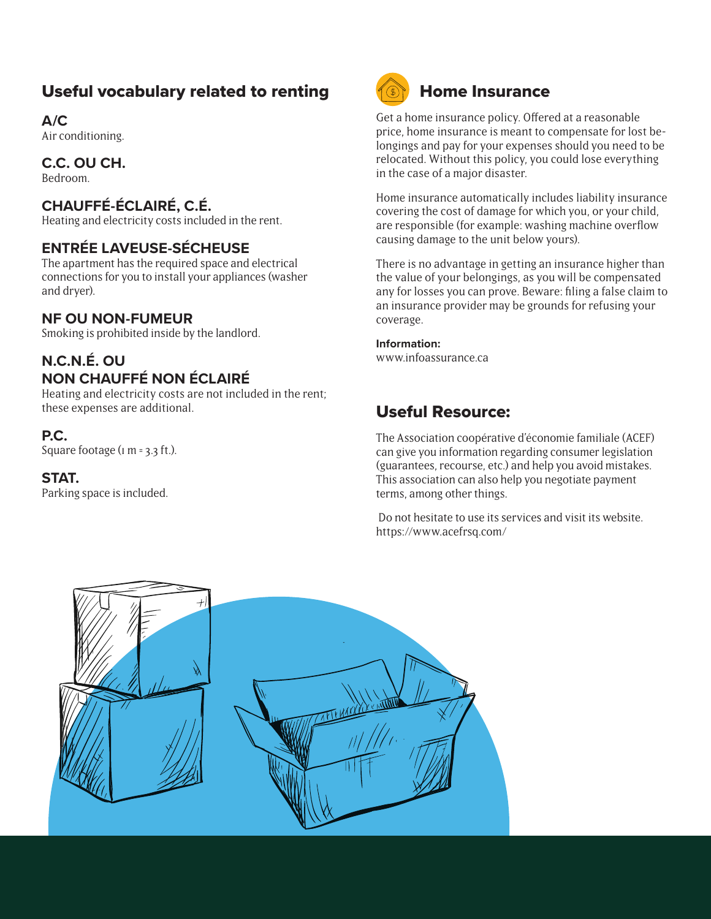# Useful vocabulary related to renting

**A/C**

Air conditioning.

#### **C.C. OU CH.**

Bedroom.

### **CHAUFFÉ-ÉCLAIRÉ, C.É.**

Heating and electricity costs included in the rent.

#### **ENTRÉE LAVEUSE-SÉCHEUSE**

The apartment has the required space and electrical connections for you to install your appliances (washer and dryer).

#### **NF OU NON-FUMEUR**

Smoking is prohibited inside by the landlord.

#### **N.C.N.É. OU NON CHAUFFÉ NON ÉCLAIRÉ**

Heating and electricity costs are not included in the rent; these expenses are additional.

#### **P.C.**

Square footage ( $\text{I}$  m = 3.3 ft.).

#### **STAT.**

Parking space is included.



# Home Insurance

Get a home insurance policy. Offered at a reasonable price, home insurance is meant to compensate for lost belongings and pay for your expenses should you need to be relocated. Without this policy, you could lose everything in the case of a major disaster.

Home insurance automatically includes liability insurance covering the cost of damage for which you, or your child, are responsible (for example: washing machine overflow causing damage to the unit below yours).

There is no advantage in getting an insurance higher than the value of your belongings, as you will be compensated any for losses you can prove. Beware: filing a false claim to an insurance provider may be grounds for refusing your coverage.

#### **Information:**

www.infoassurance.ca

# Useful Resource:

The Association coopérative d'économie familiale (ACEF) can give you information regarding consumer legislation (guarantees, recourse, etc.) and help you avoid mistakes. This association can also help you negotiate payment terms, among other things.

 Do not hesitate to use its services and visit its website. https://www.acefrsq.com/

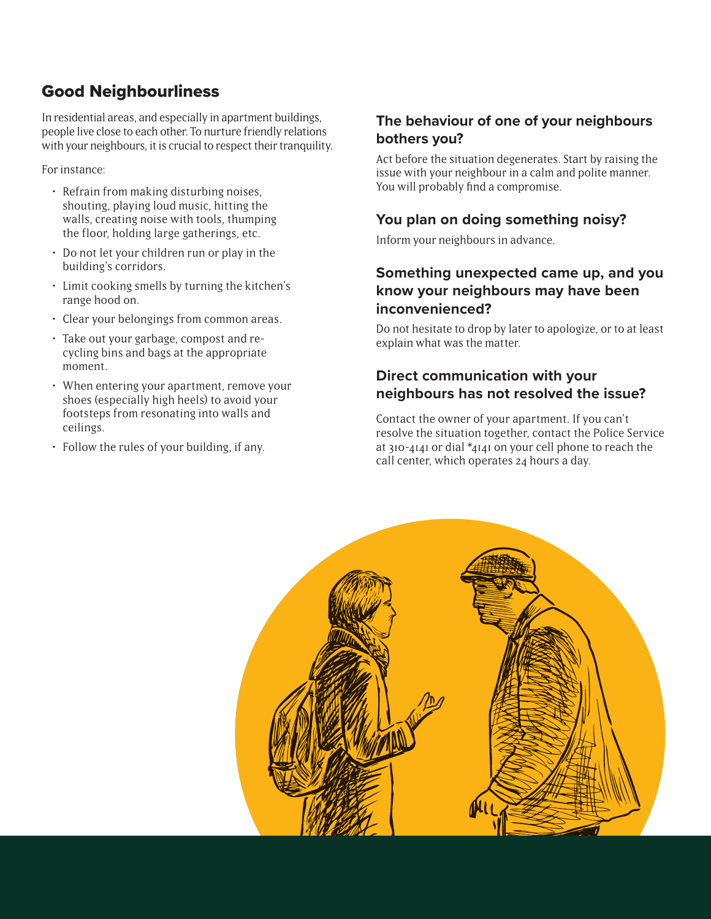# Good Neighbourliness

In residential areas, and especially in apartment buildings, people live close to each other. To nurture friendly relations with your neighbours, it is crucial to respect their tranquility.

For instance:

- Refrain from making disturbing noises, shouting, playing loud music, hitting the walls, creating noise with tools, thumping the floor, holding large gatherings, etc.
- Do not let your children run or play in the building's corridors.
- Limit cooking smells by turning the kitchen's range hood on.
- Clear your belongings from common areas.
- Take out your garbage, compost and recycling bins and bags at the appropriate moment.
- When entering your apartment, remove your shoes (especially high heels) to avoid your footsteps from resonating into walls and ceilings.
- Follow the rules of your building, if any.

#### **The behaviour of one of your neighbours bothers you?**

Act before the situation degenerates. Start by raising the issue with your neighbour in a calm and polite manner. You will probably find a compromise.

#### **You plan on doing something noisy?**

Inform your neighbours in advance.

#### **Something unexpected came up, and you know your neighbours may have been inconvenienced?**

Do not hesitate to drop by later to apologize, or to at least explain what was the matter.

#### **Direct communication with your neighbours has not resolved the issue?**

Contact the owner of your apartment. If you can't resolve the situation together, contact the Police Service at 310-4141 or dial \*4141 on your cell phone to reach the call center, which operates 24 hours a day.